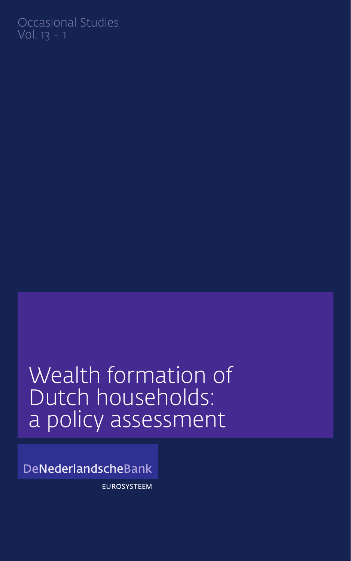## Occasional Studies Vol. 13 - 1

## Wealth formation of Dutch households: a policy assessment

DeNederlandscheBank

**EUROSYSTEEM**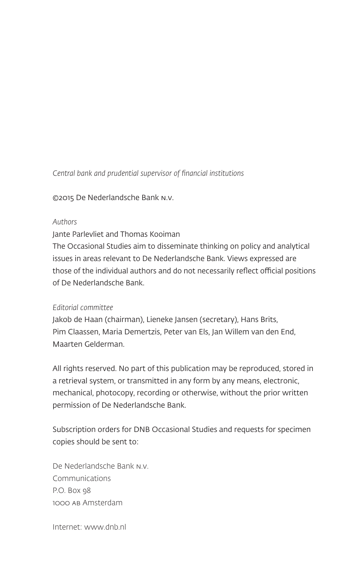*Central bank and prudential supervisor of financial institutions*

©2015 De Nederlandsche Bank n.v.

#### *Authors*

Jante Parlevliet and Thomas Kooiman

The Occasional Studies aim to disseminate thinking on policy and analytical issues in areas relevant to De Nederlandsche Bank. Views expressed are those of the individual authors and do not necessarily reflect official positions of De Nederlandsche Bank.

#### *Editorial committee*

Jakob de Haan (chairman), Lieneke Jansen (secretary), Hans Brits, Pim Claassen, Maria Demertzis, Peter van Els, Jan Willem van den End, Maarten Gelderman.

All rights reserved. No part of this publication may be reproduced, stored in a retrieval system, or transmitted in any form by any means, electronic, mechanical, photocopy, recording or otherwise, without the prior written permission of De Nederlandsche Bank.

Subscription orders for DNB Occasional Studies and requests for specimen copies should be sent to:

De Nederlandsche Bank n.v. Communications P.O. Box 98 1000 ab Amsterdam

Internet: www.dnb.nl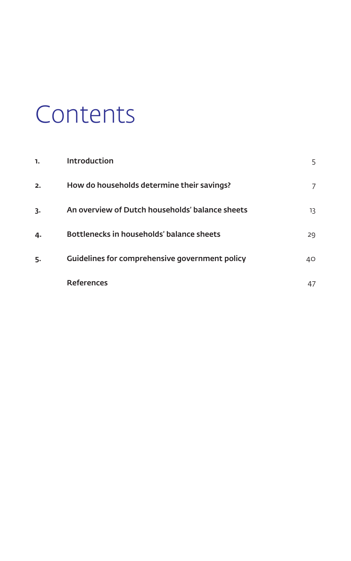# Contents

| 1. | Introduction                                    | 5  |
|----|-------------------------------------------------|----|
| 2. | How do households determine their savings?      | 7  |
| 3. | An overview of Dutch households' balance sheets | 13 |
| 4. | Bottlenecks in households' balance sheets       | 29 |
| 5. | Guidelines for comprehensive government policy  | 40 |
|    | <b>References</b>                               | 47 |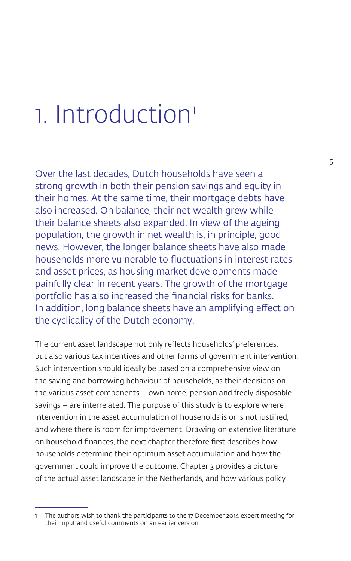## 1. Introduction<sup>1</sup>

Over the last decades, Dutch households have seen a strong growth in both their pension savings and equity in their homes. At the same time, their mortgage debts have also increased. On balance, their net wealth grew while their balance sheets also expanded. In view of the ageing population, the growth in net wealth is, in principle, good news. However, the longer balance sheets have also made households more vulnerable to fluctuations in interest rates and asset prices, as housing market developments made painfully clear in recent years. The growth of the mortgage portfolio has also increased the financial risks for banks. In addition, long balance sheets have an amplifying effect on the cyclicality of the Dutch economy.

The current asset landscape not only reflects households' preferences, but also various tax incentives and other forms of government intervention. Such intervention should ideally be based on a comprehensive view on the saving and borrowing behaviour of households, as their decisions on the various asset components – own home, pension and freely disposable savings – are interrelated. The purpose of this study is to explore where intervention in the asset accumulation of households is or is not justified, and where there is room for improvement. Drawing on extensive literature on household finances, the next chapter therefore first describes how households determine their optimum asset accumulation and how the government could improve the outcome. Chapter 3 provides a picture of the actual asset landscape in the Netherlands, and how various policy

<sup>1</sup> The authors wish to thank the participants to the 17 December 2014 expert meeting for their input and useful comments on an earlier version.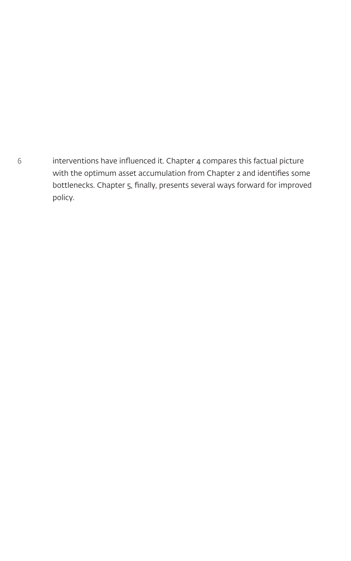6 interventions have influenced it. Chapter 4 compares this factual picture with the optimum asset accumulation from Chapter 2 and identifies some bottlenecks. Chapter 5, finally, presents several ways forward for improved policy.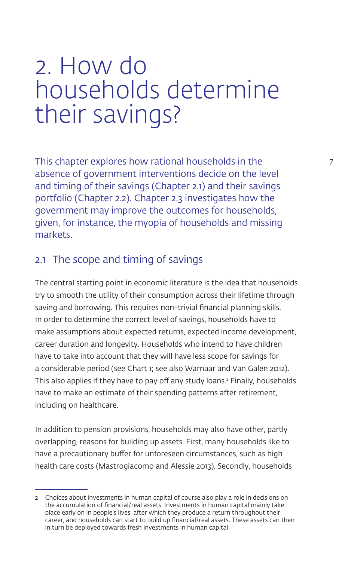## 2. How do households determine their savings?

This chapter explores how rational households in the  $\frac{7}{10}$ absence of government interventions decide on the level and timing of their savings (Chapter 2.1) and their savings portfolio (Chapter 2.2). Chapter 2.3 investigates how the government may improve the outcomes for households, given, for instance, the myopia of households and missing markets.

## 2.1 The scope and timing of savings

The central starting point in economic literature is the idea that households try to smooth the utility of their consumption across their lifetime through saving and borrowing. This requires non-trivial financial planning skills. In order to determine the correct level of savings, households have to make assumptions about expected returns, expected income development, career duration and longevity. Households who intend to have children have to take into account that they will have less scope for savings for a considerable period (see Chart 1; see also Warnaar and Van Galen 2012). This also applies if they have to pay off any study loans.2 Finally, households have to make an estimate of their spending patterns after retirement, including on healthcare.

In addition to pension provisions, households may also have other, partly overlapping, reasons for building up assets. First, many households like to have a precautionary buffer for unforeseen circumstances, such as high health care costs (Mastrogiacomo and Alessie 2013). Secondly, households

<sup>2</sup> Choices about investments in human capital of course also play a role in decisions on the accumulation of financial/real assets. Investments in human capital mainly take place early on in people's lives, after which they produce a return throughout their career, and households can start to build up financial/real assets. These assets can then in turn be deployed towards fresh investments in human capital.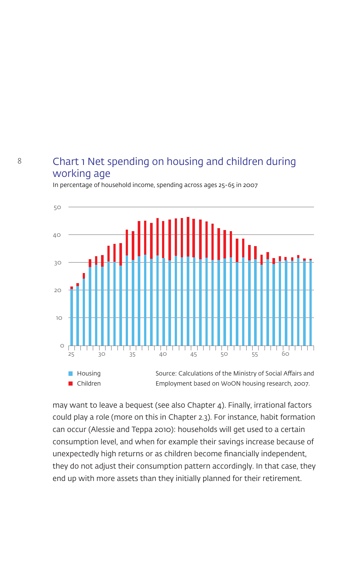## Chart 1 Net spending on housing and children during working age

In percentage of household income, spending across ages 25-65 in 2007



may want to leave a bequest (see also Chapter 4). Finally, irrational factors could play a role (more on this in Chapter 2.3). For instance, habit formation can occur (Alessie and Teppa 2010): households will get used to a certain consumption level, and when for example their savings increase because of unexpectedly high returns or as children become financially independent, they do not adjust their consumption pattern accordingly. In that case, they end up with more assets than they initially planned for their retirement.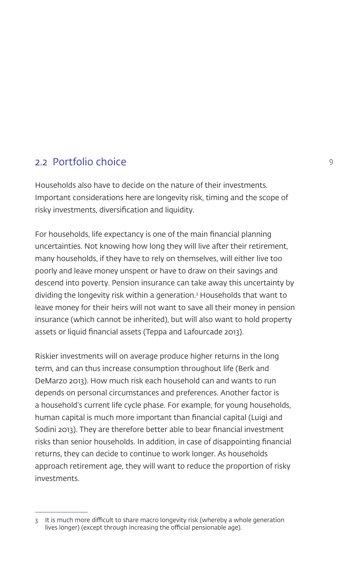### 2.2 Portfolio choice 9

Households also have to decide on the nature of their investments. Important considerations here are longevity risk, timing and the scope of risky investments, diversification and liquidity.

For households, life expectancy is one of the main financial planning uncertainties. Not knowing how long they will live after their retirement, many households, if they have to rely on themselves, will either live too poorly and leave money unspent or have to draw on their savings and descend into poverty. Pension insurance can take away this uncertainty by dividing the longevity risk within a generation.3 Households that want to leave money for their heirs will not want to save all their money in pension insurance (which cannot be inherited), but will also want to hold property assets or liquid financial assets (Teppa and Lafourcade 2013).

Riskier investments will on average produce higher returns in the long term, and can thus increase consumption throughout life (Berk and DeMarzo 2013). How much risk each household can and wants to run depends on personal circumstances and preferences. Another factor is a household's current life cycle phase. For example, for young households, human capital is much more important than financial capital (Luigi and Sodini 2013). They are therefore better able to bear financial investment risks than senior households. In addition, in case of disappointing financial returns, they can decide to continue to work longer. As households approach retirement age, they will want to reduce the proportion of risky investments.

<sup>3</sup> It is much more difficult to share macro longevity risk (whereby a whole generation lives longer) (except through increasing the official pensionable age).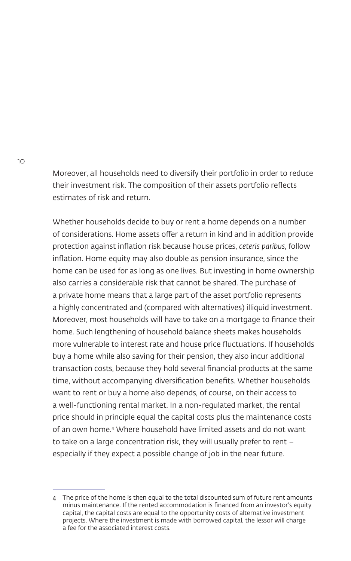Moreover, all households need to diversify their portfolio in order to reduce their investment risk. The composition of their assets portfolio reflects estimates of risk and return.

Whether households decide to buy or rent a home depends on a number of considerations. Home assets offer a return in kind and in addition provide protection against inflation risk because house prices, *ceteris paribus*, follow inflation. Home equity may also double as pension insurance, since the home can be used for as long as one lives. But investing in home ownership also carries a considerable risk that cannot be shared. The purchase of a private home means that a large part of the asset portfolio represents a highly concentrated and (compared with alternatives) illiquid investment. Moreover, most households will have to take on a mortgage to finance their home. Such lengthening of household balance sheets makes households more vulnerable to interest rate and house price fluctuations. If households buy a home while also saving for their pension, they also incur additional transaction costs, because they hold several financial products at the same time, without accompanying diversification benefits. Whether households want to rent or buy a home also depends, of course, on their access to a well-functioning rental market. In a non-regulated market, the rental price should in principle equal the capital costs plus the maintenance costs of an own home.4 Where household have limited assets and do not want to take on a large concentration risk, they will usually prefer to rent – especially if they expect a possible change of job in the near future.

<sup>4</sup> The price of the home is then equal to the total discounted sum of future rent amounts minus maintenance. If the rented accommodation is financed from an investor's equity capital, the capital costs are equal to the opportunity costs of alternative investment projects. Where the investment is made with borrowed capital, the lessor will charge a fee for the associated interest costs.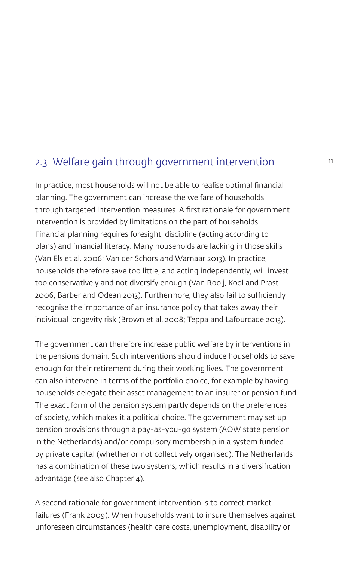## 2.3 Welfare gain through government intervention  $11$

In practice, most households will not be able to realise optimal financial planning. The government can increase the welfare of households through targeted intervention measures. A first rationale for government intervention is provided by limitations on the part of households. Financial planning requires foresight, discipline (acting according to plans) and financial literacy. Many households are lacking in those skills (Van Els et al. 2006; Van der Schors and Warnaar 2013). In practice, households therefore save too little, and acting independently, will invest too conservatively and not diversify enough (Van Rooij, Kool and Prast 2006; Barber and Odean 2013). Furthermore, they also fail to sufficiently recognise the importance of an insurance policy that takes away their individual longevity risk (Brown et al. 2008; Teppa and Lafourcade 2013).

The government can therefore increase public welfare by interventions in the pensions domain. Such interventions should induce households to save enough for their retirement during their working lives. The government can also intervene in terms of the portfolio choice, for example by having households delegate their asset management to an insurer or pension fund. The exact form of the pension system partly depends on the preferences of society, which makes it a political choice. The government may set up pension provisions through a pay-as-you-go system (AOW state pension in the Netherlands) and/or compulsory membership in a system funded by private capital (whether or not collectively organised). The Netherlands has a combination of these two systems, which results in a diversification advantage (see also Chapter 4).

A second rationale for government intervention is to correct market failures (Frank 2009). When households want to insure themselves against unforeseen circumstances (health care costs, unemployment, disability or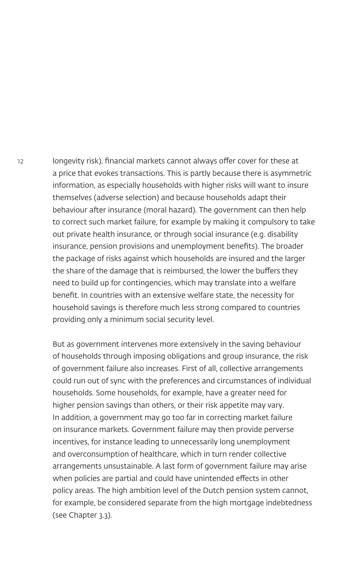12 longevity risk), financial markets cannot always offer cover for these at a price that evokes transactions. This is partly because there is asymmetric information, as especially households with higher risks will want to insure themselves (adverse selection) and because households adapt their behaviour after insurance (moral hazard). The government can then help to correct such market failure, for example by making it compulsory to take out private health insurance, or through social insurance (e.g. disability insurance, pension provisions and unemployment benefits). The broader the package of risks against which households are insured and the larger the share of the damage that is reimbursed, the lower the buffers they need to build up for contingencies, which may translate into a welfare benefit. In countries with an extensive welfare state, the necessity for household savings is therefore much less strong compared to countries providing only a minimum social security level.

> But as government intervenes more extensively in the saving behaviour of households through imposing obligations and group insurance, the risk of government failure also increases. First of all, collective arrangements could run out of sync with the preferences and circumstances of individual households. Some households, for example, have a greater need for higher pension savings than others, or their risk appetite may vary. In addition, a government may go too far in correcting market failure on insurance markets. Government failure may then provide perverse incentives, for instance leading to unnecessarily long unemployment and overconsumption of healthcare, which in turn render collective arrangements unsustainable. A last form of government failure may arise when policies are partial and could have unintended effects in other policy areas. The high ambition level of the Dutch pension system cannot, for example, be considered separate from the high mortgage indebtedness (see Chapter 3.3).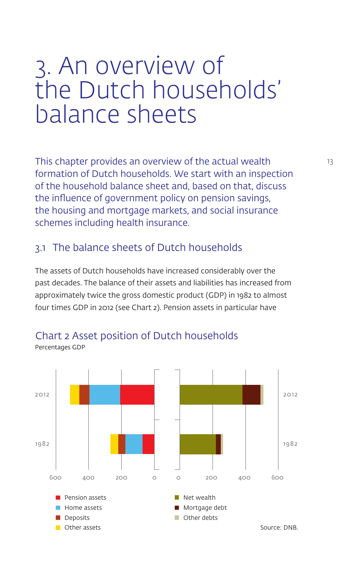## 3. An overview of the Dutch households' balance sheets

This chapter provides an overview of the actual wealth 13 formation of Dutch households. We start with an inspection of the household balance sheet and, based on that, discuss the influence of government policy on pension savings, the housing and mortgage markets, and social insurance schemes including health insurance.

## 3.1 The balance sheets of Dutch households

The assets of Dutch households have increased considerably over the past decades. The balance of their assets and liabilities has increased from approximately twice the gross domestic product (GDP) in 1982 to almost four times GDP in 2012 (see Chart 2). Pension assets in particular have



#### Chart 2 Asset position of Dutch households Percentages GDP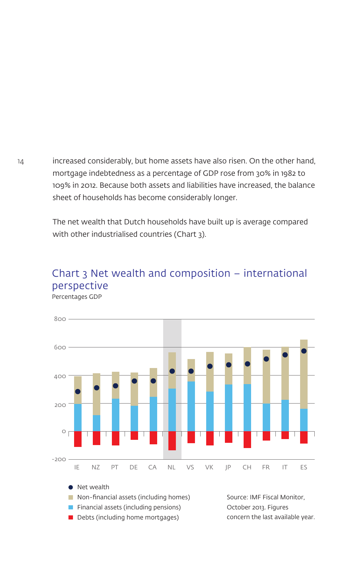14 increased considerably, but home assets have also risen. On the other hand, mortgage indebtedness as a percentage of GDP rose from 30% in 1982 to 109% in 2012. Because both assets and liabilities have increased, the balance sheet of households has become considerably longer.

> The net wealth that Dutch households have built up is average compared with other industrialised countries (Chart 3).

#### Chart 3 Net wealth and composition – international perspective Percentages GDP



 $\Box$  Debts (including home mortgages) concern the last available year.

October 2013. Figures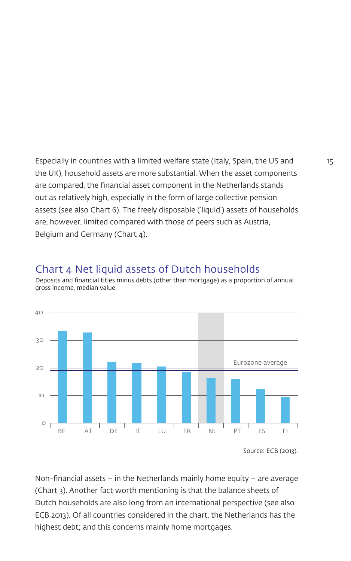Especially in countries with a limited welfare state (Italy, Spain, the US and 15 the UK), household assets are more substantial. When the asset components are compared, the financial asset component in the Netherlands stands out as relatively high, especially in the form of large collective pension assets (see also Chart 6). The freely disposable ('liquid') assets of households are, however, limited compared with those of peers such as Austria, Belgium and Germany (Chart 4).

### Chart 4 Net liquid assets of Dutch households

Deposits and financial titles minus debts (other than mortgage) as a proportion of annual gross income, median value



Non-financial assets – in the Netherlands mainly home equity – are average (Chart 3). Another fact worth mentioning is that the balance sheets of Dutch households are also long from an international perspective (see also ECB 2013). Of all countries considered in the chart, the Netherlands has the highest debt; and this concerns mainly home mortgages.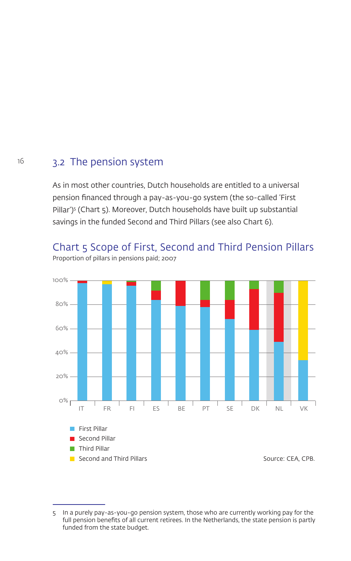### 16 3.2 The pension system

As in most other countries, Dutch households are entitled to a universal pension financed through a pay-as-you-go system (the so-called 'First Pillar')<sup>5</sup> (Chart 5). Moreover, Dutch households have built up substantial savings in the funded Second and Third Pillars (see also Chart 6).

## Chart 5 Scope of First, Second and Third Pension Pillars



Proportion of pillars in pensions paid; 2007

<sup>5</sup> In a purely pay-as-you-go pension system, those who are currently working pay for the full pension benefits of all current retirees. In the Netherlands, the state pension is partly funded from the state budget.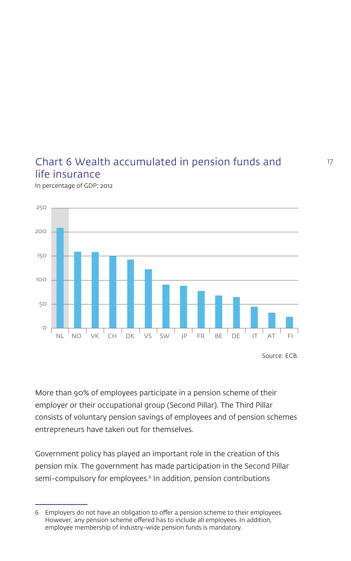## Chart 6 Wealth accumulated in pension funds and life insurance

In percentage of GDP; 2012



More than 90% of employees participate in a pension scheme of their employer or their occupational group (Second Pillar). The Third Pillar consists of voluntary pension savings of employees and of pension schemes entrepreneurs have taken out for themselves.

Government policy has played an important role in the creation of this pension mix. The government has made participation in the Second Pillar semi-compulsory for employees.<sup>6</sup> In addition, pension contributions

<sup>6</sup> Employers do not have an obligation to offer a pension scheme to their employees. However, any pension scheme offered has to include all employees. In addition, employee membership of industry-wide pension funds is mandatory.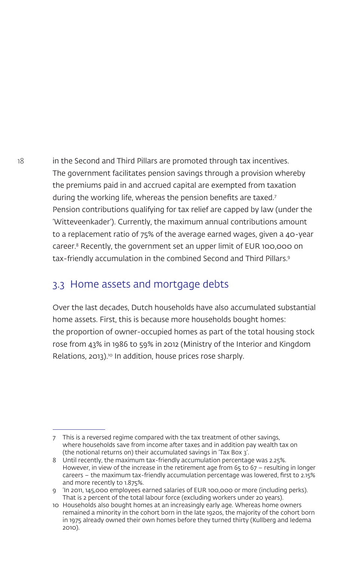18 in the Second and Third Pillars are promoted through tax incentives. The government facilitates pension savings through a provision whereby the premiums paid in and accrued capital are exempted from taxation during the working life, whereas the pension benefits are taxed.<sup>7</sup> Pension contributions qualifying for tax relief are capped by law (under the 'Witteveenkader'). Currently, the maximum annual contributions amount to a replacement ratio of 75% of the average earned wages, given a 40-year career.8 Recently, the government set an upper limit of EUR 100,000 on tax-friendly accumulation in the combined Second and Third Pillars.9

## 3.3 Home assets and mortgage debts

Over the last decades, Dutch households have also accumulated substantial home assets. First, this is because more households bought homes: the proportion of owner-occupied homes as part of the total housing stock rose from 43% in 1986 to 59% in 2012 (Ministry of the Interior and Kingdom Relations, 2013).<sup>10</sup> In addition, house prices rose sharply.

<sup>7</sup> This is a reversed regime compared with the tax treatment of other savings, where households save from income after taxes and in addition pay wealth tax on (the notional returns on) their accumulated savings in 'Tax Box 3'.

<sup>8</sup> Until recently, the maximum tax-friendly accumulation percentage was 2.25%. However, in view of the increase in the retirement age from 65 to 67 – resulting in longer careers – the maximum tax-friendly accumulation percentage was lowered, first to 2.15% and more recently to 1.875%.

<sup>9</sup> 'In 2011, 145,000 employees earned salaries of EUR 100,000 or more (including perks). That is 2 percent of the total labour force (excluding workers under 20 years).

<sup>10</sup> Households also bought homes at an increasingly early age. Whereas home owners remained a minority in the cohort born in the late 1920s, the majority of the cohort born in 1975 already owned their own homes before they turned thirty (Kullberg and Iedema 2010).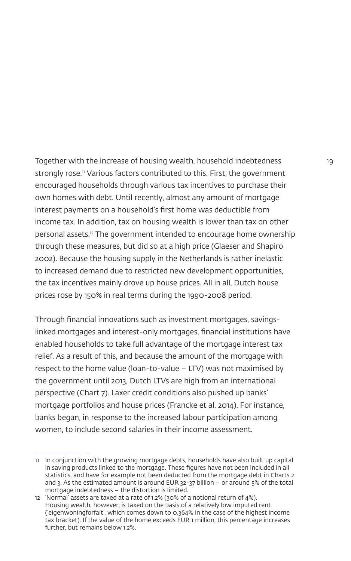Together with the increase of housing wealth, household indebtedness 19 strongly rose.<sup>11</sup> Various factors contributed to this. First, the government encouraged households through various tax incentives to purchase their own homes with debt. Until recently, almost any amount of mortgage interest payments on a household's first home was deductible from income tax. In addition, tax on housing wealth is lower than tax on other personal assets.12 The government intended to encourage home ownership through these measures, but did so at a high price (Glaeser and Shapiro 2002). Because the housing supply in the Netherlands is rather inelastic to increased demand due to restricted new development opportunities, the tax incentives mainly drove up house prices. All in all, Dutch house prices rose by 150% in real terms during the 1990-2008 period.

Through financial innovations such as investment mortgages, savingslinked mortgages and interest-only mortgages, financial institutions have enabled households to take full advantage of the mortgage interest tax relief. As a result of this, and because the amount of the mortgage with respect to the home value (loan-to-value – LTV) was not maximised by the government until 2013, Dutch LTVs are high from an international perspective (Chart 7). Laxer credit conditions also pushed up banks' mortgage portfolios and house prices (Francke et al. 2014). For instance, banks began, in response to the increased labour participation among women, to include second salaries in their income assessment.

<sup>11</sup> In conjunction with the growing mortgage debts, households have also built up capital in saving products linked to the mortgage. These figures have not been included in all statistics, and have for example not been deducted from the mortgage debt in Charts 2 and 3. As the estimated amount is around EUR 32-37 billion – or around 5% of the total mortgage indebtedness – the distortion is limited.

<sup>12</sup> 'Normal' assets are taxed at a rate of 1.2% (30% of a notional return of 4%). Housing wealth, however, is taxed on the basis of a relatively low imputed rent ('eigenwoningforfait', which comes down to 0.364% in the case of the highest income tax bracket). If the value of the home exceeds EUR 1 million, this percentage increases further, but remains below 1.2%.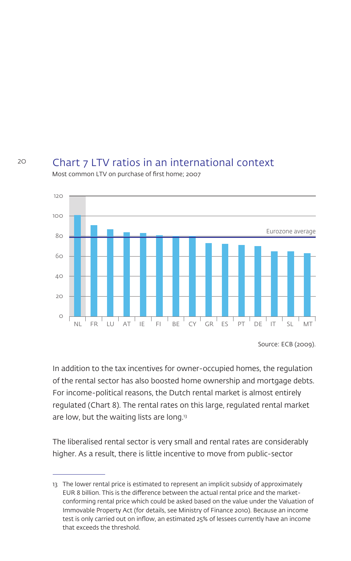### Chart 7 LTV ratios in an international context



Most common LTV on purchase of first home; 2007

Source: ECB (2009).

In addition to the tax incentives for owner-occupied homes, the regulation of the rental sector has also boosted home ownership and mortgage debts. For income-political reasons, the Dutch rental market is almost entirely regulated (Chart 8). The rental rates on this large, regulated rental market are low, but the waiting lists are long.<sup>13</sup>

The liberalised rental sector is very small and rental rates are considerably higher. As a result, there is little incentive to move from public-sector

<sup>13</sup> The lower rental price is estimated to represent an implicit subsidy of approximately EUR 8 billion. This is the difference between the actual rental price and the marketconforming rental price which could be asked based on the value under the Valuation of Immovable Property Act (for details, see Ministry of Finance 2010). Because an income test is only carried out on inflow, an estimated 25% of lessees currently have an income that exceeds the threshold.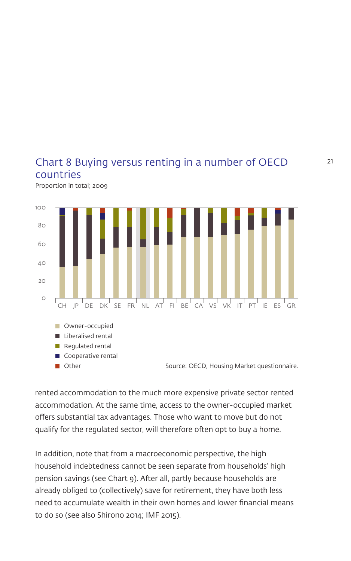#### Chart 8 Buying versus renting in a number of OECD countries Proportion in total; 2009

 $\Omega$ 20 40 60 80 100 CH JP DE DK SE FR NL AT FI BE CA VS VK IT PT IE ES GR **Other** Cooperative rental  $\blacksquare$  Regulated rental Liberalised rental **Owner-occupied** Source: OECD, Housing Market questionnaire.

rented accommodation to the much more expensive private sector rented accommodation. At the same time, access to the owner-occupied market offers substantial tax advantages. Those who want to move but do not qualify for the regulated sector, will therefore often opt to buy a home.

In addition, note that from a macroeconomic perspective, the high household indebtedness cannot be seen separate from households' high pension savings (see Chart 9). After all, partly because households are already obliged to (collectively) save for retirement, they have both less need to accumulate wealth in their own homes and lower financial means to do so (see also Shirono 2014; IMF 2015).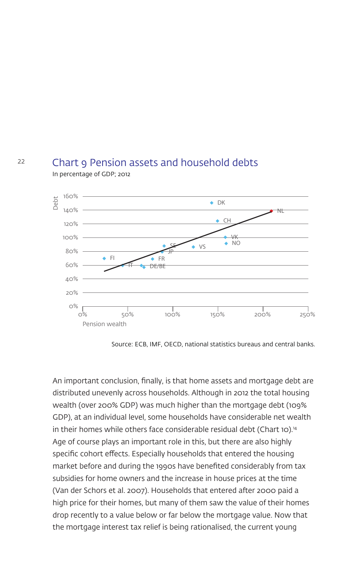#### Chart 9 Pension assets and household debts In percentage of GDP; 2012



Source: ECB, IMF, OECD, national statistics bureaus and central banks.

An important conclusion, finally, is that home assets and mortgage debt are distributed unevenly across households. Although in 2012 the total housing wealth (over 200% GDP) was much higher than the mortgage debt (109% GDP), at an individual level, some households have considerable net wealth in their homes while others face considerable residual debt (Chart 10).<sup>14</sup> Age of course plays an important role in this, but there are also highly specific cohort effects. Especially households that entered the housing market before and during the 1990s have benefited considerably from tax subsidies for home owners and the increase in house prices at the time (Van der Schors et al. 2007). Households that entered after 2000 paid a high price for their homes, but many of them saw the value of their homes drop recently to a value below or far below the mortgage value. Now that the mortgage interest tax relief is being rationalised, the current young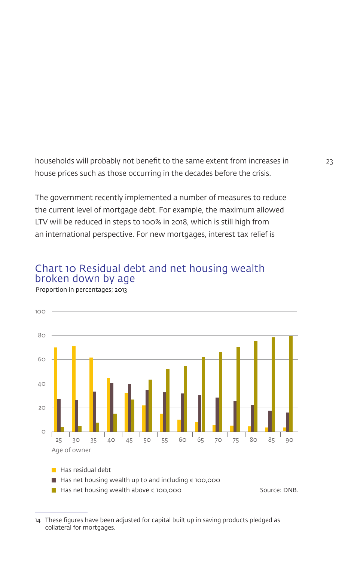households will probably not benefit to the same extent from increases in 23 house prices such as those occurring in the decades before the crisis.

The government recently implemented a number of measures to reduce the current level of mortgage debt. For example, the maximum allowed LTV will be reduced in steps to 100% in 2018, which is still high from an international perspective. For new mortgages, interest tax relief is

### Chart 10 Residual debt and net housing wealth broken down by age



Proportion in percentages; 2013

<sup>14</sup> These figures have been adjusted for capital built up in saving products pledged as collateral for mortgages.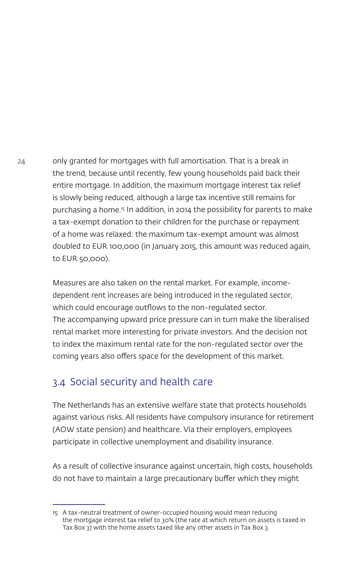24 only granted for mortgages with full amortisation. That is a break in the trend, because until recently, few young households paid back their entire mortgage. In addition, the maximum mortgage interest tax relief is slowly being reduced, although a large tax incentive still remains for purchasing a home.15 In addition, in 2014 the possibility for parents to make a tax-exempt donation to their children for the purchase or repayment of a home was relaxed: the maximum tax-exempt amount was almost doubled to EUR 100,000 (in January 2015, this amount was reduced again, to EUR 50,000).

> Measures are also taken on the rental market. For example, incomedependent rent increases are being introduced in the regulated sector, which could encourage outflows to the non-regulated sector. The accompanying upward price pressure can in turn make the liberalised rental market more interesting for private investors. And the decision not to index the maximum rental rate for the non-regulated sector over the coming years also offers space for the development of this market.

## 3.4 Social security and health care

The Netherlands has an extensive welfare state that protects households against various risks. All residents have compulsory insurance for retirement (AOW state pension) and healthcare. Via their employers, employees participate in collective unemployment and disability insurance.

As a result of collective insurance against uncertain, high costs, households do not have to maintain a large precautionary buffer which they might

<sup>15</sup> A tax-neutral treatment of owner-occupied housing would mean reducing the mortgage interest tax relief to 30% (the rate at which return on assets is taxed in Tax Box 3) with the home assets taxed like any other assets in Tax Box 3.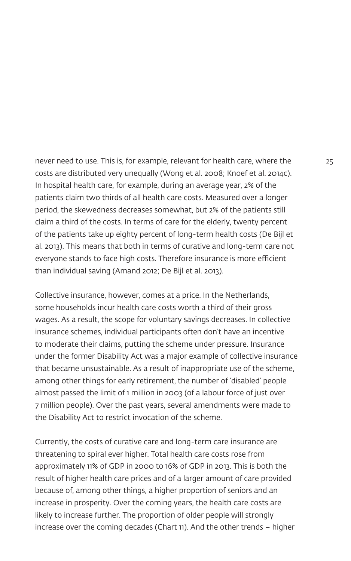never need to use. This is, for example, relevant for health care, where the 25 costs are distributed very unequally (Wong et al. 2008; Knoef et al. 2014c). In hospital health care, for example, during an average year, 2% of the patients claim two thirds of all health care costs. Measured over a longer period, the skewedness decreases somewhat, but 2% of the patients still claim a third of the costs. In terms of care for the elderly, twenty percent of the patients take up eighty percent of long-term health costs (De Bijl et al. 2013). This means that both in terms of curative and long-term care not everyone stands to face high costs. Therefore insurance is more efficient than individual saving (Amand 2012; De Bijl et al. 2013).

Collective insurance, however, comes at a price. In the Netherlands, some households incur health care costs worth a third of their gross wages. As a result, the scope for voluntary savings decreases. In collective insurance schemes, individual participants often don't have an incentive to moderate their claims, putting the scheme under pressure. Insurance under the former Disability Act was a major example of collective insurance that became unsustainable. As a result of inappropriate use of the scheme, among other things for early retirement, the number of 'disabled' people almost passed the limit of 1 million in 2003 (of a labour force of just over 7 million people). Over the past years, several amendments were made to the Disability Act to restrict invocation of the scheme.

Currently, the costs of curative care and long-term care insurance are threatening to spiral ever higher. Total health care costs rose from approximately 11% of GDP in 2000 to 16% of GDP in 2013. This is both the result of higher health care prices and of a larger amount of care provided because of, among other things, a higher proportion of seniors and an increase in prosperity. Over the coming years, the health care costs are likely to increase further. The proportion of older people will strongly increase over the coming decades (Chart 11). And the other trends – higher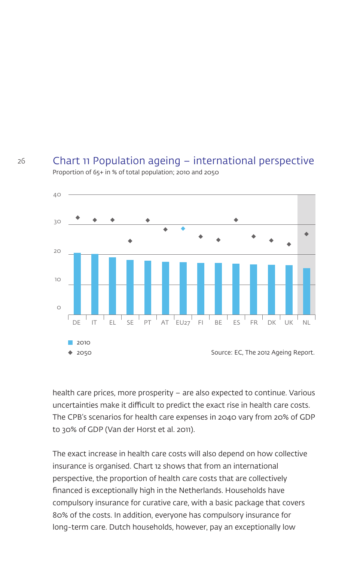#### Chart 11 Population ageing – international perspective Proportion of 65+ in % of total population; 2010 and 2050



health care prices, more prosperity – are also expected to continue. Various uncertainties make it difficult to predict the exact rise in health care costs. The CPB's scenarios for health care expenses in 2040 vary from 20% of GDP to 30% of GDP (Van der Horst et al. 2011).

The exact increase in health care costs will also depend on how collective insurance is organised. Chart 12 shows that from an international perspective, the proportion of health care costs that are collectively financed is exceptionally high in the Netherlands. Households have compulsory insurance for curative care, with a basic package that covers 80% of the costs. In addition, everyone has compulsory insurance for long-term care. Dutch households, however, pay an exceptionally low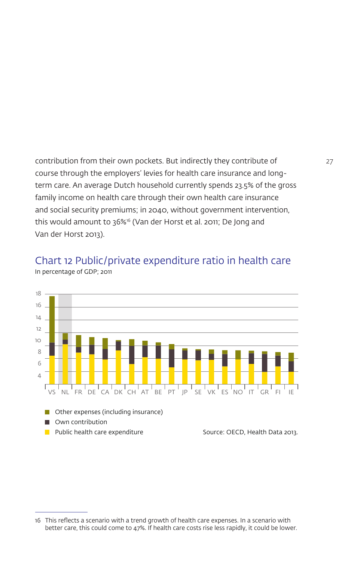contribution from their own pockets. But indirectly they contribute of 27 course through the employers' levies for health care insurance and longterm care. An average Dutch household currently spends 23.5% of the gross family income on health care through their own health care insurance and social security premiums; in 2040, without government intervention, this would amount to 36%<sup>16</sup> (Van der Horst et al. 2011; De Jong and Van der Horst 2013).



Chart 12 Public/private expenditure ratio in health care In percentage of GDP; 2011

<sup>16</sup> This reflects a scenario with a trend growth of health care expenses. In a scenario with better care, this could come to 47%. If health care costs rise less rapidly, it could be lower.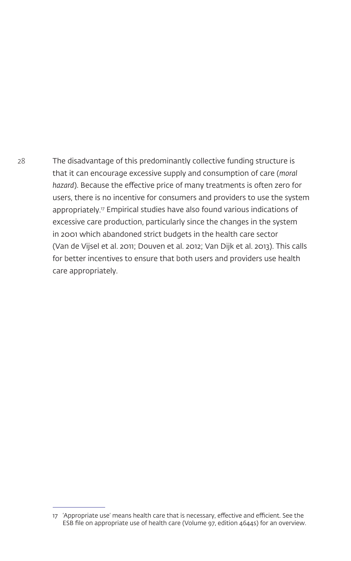28 The disadvantage of this predominantly collective funding structure is that it can encourage excessive supply and consumption of care (*moral hazard*). Because the effective price of many treatments is often zero for users, there is no incentive for consumers and providers to use the system appropriately.17 Empirical studies have also found various indications of excessive care production, particularly since the changes in the system in 2001 which abandoned strict budgets in the health care sector (Van de Vijsel et al. 2011; Douven et al. 2012; Van Dijk et al. 2013). This calls for better incentives to ensure that both users and providers use health care appropriately.

<sup>17</sup> 'Appropriate use' means health care that is necessary, effective and efficient. See the ESB file on appropriate use of health care (Volume 97, edition 4644s) for an overview.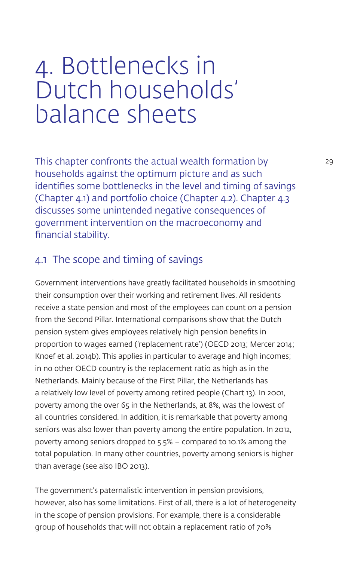## 4. Bottlenecks in Dutch households' balance sheets

This chapter confronts the actual wealth formation by 29 households against the optimum picture and as such identifies some bottlenecks in the level and timing of savings (Chapter 4.1) and portfolio choice (Chapter 4.2). Chapter 4.3 discusses some unintended negative consequences of government intervention on the macroeconomy and financial stability.

## 4.1 The scope and timing of savings

Government interventions have greatly facilitated households in smoothing their consumption over their working and retirement lives. All residents receive a state pension and most of the employees can count on a pension from the Second Pillar. International comparisons show that the Dutch pension system gives employees relatively high pension benefits in proportion to wages earned ('replacement rate') (OECD 2013; Mercer 2014; Knoef et al. 2014b). This applies in particular to average and high incomes; in no other OECD country is the replacement ratio as high as in the Netherlands. Mainly because of the First Pillar, the Netherlands has a relatively low level of poverty among retired people (Chart 13). In 2001, poverty among the over 65 in the Netherlands, at 8%, was the lowest of all countries considered. In addition, it is remarkable that poverty among seniors was also lower than poverty among the entire population. In 2012, poverty among seniors dropped to 5.5% – compared to 10.1% among the total population. In many other countries, poverty among seniors is higher than average (see also IBO 2013).

The government's paternalistic intervention in pension provisions, however, also has some limitations. First of all, there is a lot of heterogeneity in the scope of pension provisions. For example, there is a considerable group of households that will not obtain a replacement ratio of 70%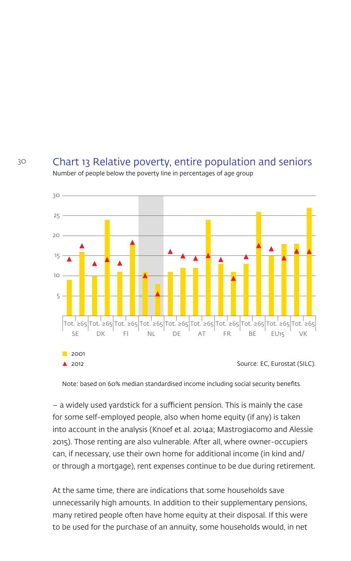#### Chart 13 Relative poverty, entire population and seniors Number of people below the poverty line in percentages of age group



Note: based on 60% median standardised income including social security benefits.

– a widely used yardstick for a sufficient pension. This is mainly the case for some self-employed people, also when home equity (if any) is taken into account in the analysis (Knoef et al. 2014a; Mastrogiacomo and Alessie 2015). Those renting are also vulnerable. After all, where owner-occupiers can, if necessary, use their own home for additional income (in kind and/ or through a mortgage), rent expenses continue to be due during retirement.

At the same time, there are indications that some households save unnecessarily high amounts. In addition to their supplementary pensions, many retired people often have home equity at their disposal. If this were to be used for the purchase of an annuity, some households would, in net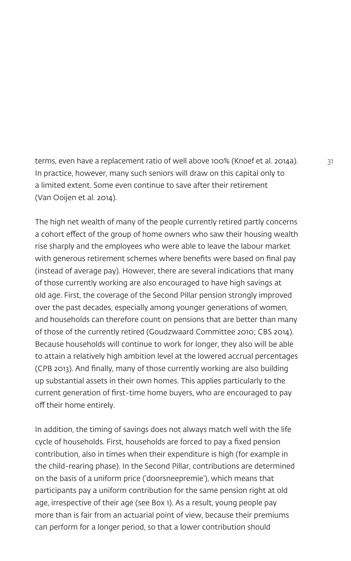terms, even have a replacement ratio of well above 100% (Knoef et al. 2014a). 31 In practice, however, many such seniors will draw on this capital only to a limited extent. Some even continue to save after their retirement (Van Ooijen et al. 2014).

The high net wealth of many of the people currently retired partly concerns a cohort effect of the group of home owners who saw their housing wealth rise sharply and the employees who were able to leave the labour market with generous retirement schemes where benefits were based on final pay (instead of average pay). However, there are several indications that many of those currently working are also encouraged to have high savings at old age. First, the coverage of the Second Pillar pension strongly improved over the past decades, especially among younger generations of women, and households can therefore count on pensions that are better than many of those of the currently retired (Goudzwaard Committee 2010; CBS 2014). Because households will continue to work for longer, they also will be able to attain a relatively high ambition level at the lowered accrual percentages (CPB 2013). And finally, many of those currently working are also building up substantial assets in their own homes. This applies particularly to the current generation of first-time home buyers, who are encouraged to pay off their home entirely.

In addition, the timing of savings does not always match well with the life cycle of households. First, households are forced to pay a fixed pension contribution, also in times when their expenditure is high (for example in the child-rearing phase). In the Second Pillar, contributions are determined on the basis of a uniform price ('doorsneepremie'), which means that participants pay a uniform contribution for the same pension right at old age, irrespective of their age (see Box 1). As a result, young people pay more than is fair from an actuarial point of view, because their premiums can perform for a longer period, so that a lower contribution should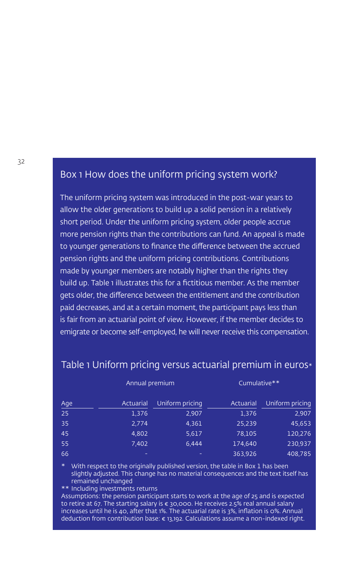### Box 1 How does the uniform pricing system work?

The uniform pricing system was introduced in the post-war years to allow the older generations to build up a solid pension in a relatively short period. Under the uniform pricing system, older people accrue more pension rights than the contributions can fund. An appeal is made to younger generations to finance the difference between the accrued pension rights and the uniform pricing contributions. Contributions made by younger members are notably higher than the rights they build up. Table 1 illustrates this for a fictitious member. As the member gets older, the difference between the entitlement and the contribution paid decreases, and at a certain moment, the participant pays less than is fair from an actuarial point of view. However, if the member decides to emigrate or become self-employed, he will never receive this compensation.

|            | Annual premium |                 | Cumulative** |                 |
|------------|----------------|-----------------|--------------|-----------------|
| <u>Age</u> | Actuarial      | Uniform pricing | Actuarial    | Uniform pricing |
| 25         | 1,376          | 2,907           | 1,376        | 2,907           |
| 35         | 2,774          | 4,361           | 25,239       | 45,653          |
| 45         | 4,802          | 5,617           | 78,105       | 120,276         |
| 55         | 7,402          | 6.444           | 174.640      | 230,937         |
| 66         | -              |                 | 363,926      | 408,785         |

#### Table 1 Uniform pricing versus actuarial premium in euros\* Table 1 Uniform pricing versus actuarial premium in euros $\ast$

 $*$  With respect to the originally published version, the table in Box 1 has been slightly adjusted. This change has no material consequences and the text itself has remained unchanged. This change has no material consequences and the text itself has no material consequences

 $**$  Including investments returns

Assumptions: the pension participant starts to work at the age of 25 and is expected to retire at 67. The starting salary is € 30,000. He receives 2.5% real annual salary increases until he is 40, after that 1%. The actuarial rate is 3%, inflation is 0%. Annual deduction from contribution base:  $\bm{\epsilon}$  13,192. Calculations assume a non-indexed right.

deduction from contribution base:  $\mathbb{E} \left[ \mathcal{A} \right]$  assume a non-indexed right. The non-indexed right.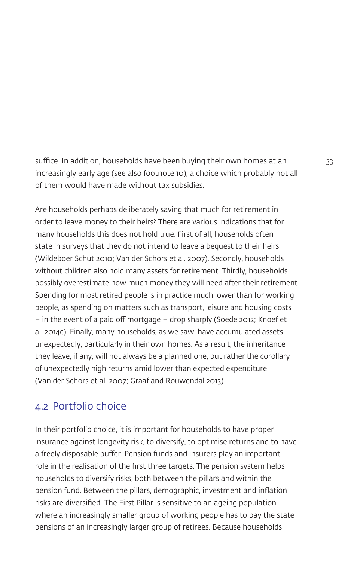suffice. In addition, households have been buying their own homes at an 33 increasingly early age (see also footnote 10), a choice which probably not all of them would have made without tax subsidies.

Are households perhaps deliberately saving that much for retirement in order to leave money to their heirs? There are various indications that for many households this does not hold true. First of all, households often state in surveys that they do not intend to leave a bequest to their heirs (Wildeboer Schut 2010; Van der Schors et al. 2007). Secondly, households without children also hold many assets for retirement. Thirdly, households possibly overestimate how much money they will need after their retirement. Spending for most retired people is in practice much lower than for working people, as spending on matters such as transport, leisure and housing costs – in the event of a paid off mortgage – drop sharply (Soede 2012; Knoef et al. 2014c). Finally, many households, as we saw, have accumulated assets unexpectedly, particularly in their own homes. As a result, the inheritance they leave, if any, will not always be a planned one, but rather the corollary of unexpectedly high returns amid lower than expected expenditure (Van der Schors et al. 2007; Graaf and Rouwendal 2013).

## 4.2 Portfolio choice

In their portfolio choice, it is important for households to have proper insurance against longevity risk, to diversify, to optimise returns and to have a freely disposable buffer. Pension funds and insurers play an important role in the realisation of the first three targets. The pension system helps households to diversify risks, both between the pillars and within the pension fund. Between the pillars, demographic, investment and inflation risks are diversified. The First Pillar is sensitive to an ageing population where an increasingly smaller group of working people has to pay the state pensions of an increasingly larger group of retirees. Because households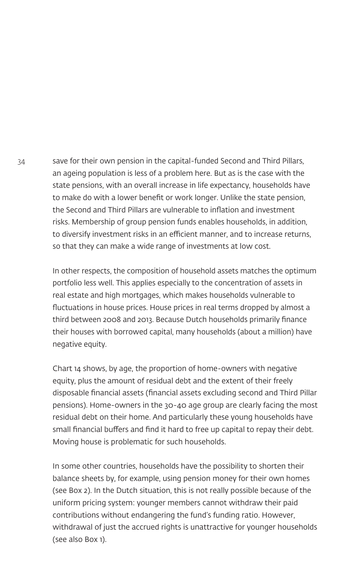34 save for their own pension in the capital-funded Second and Third Pillars, an ageing population is less of a problem here. But as is the case with the state pensions, with an overall increase in life expectancy, households have to make do with a lower benefit or work longer. Unlike the state pension, the Second and Third Pillars are vulnerable to inflation and investment risks. Membership of group pension funds enables households, in addition, to diversify investment risks in an efficient manner, and to increase returns, so that they can make a wide range of investments at low cost.

> In other respects, the composition of household assets matches the optimum portfolio less well. This applies especially to the concentration of assets in real estate and high mortgages, which makes households vulnerable to fluctuations in house prices. House prices in real terms dropped by almost a third between 2008 and 2013. Because Dutch households primarily finance their houses with borrowed capital, many households (about a million) have negative equity.

> Chart 14 shows, by age, the proportion of home-owners with negative equity, plus the amount of residual debt and the extent of their freely disposable financial assets (financial assets excluding second and Third Pillar pensions). Home-owners in the 30-40 age group are clearly facing the most residual debt on their home. And particularly these young households have small financial buffers and find it hard to free up capital to repay their debt. Moving house is problematic for such households.

> In some other countries, households have the possibility to shorten their balance sheets by, for example, using pension money for their own homes (see Box 2). In the Dutch situation, this is not really possible because of the uniform pricing system: younger members cannot withdraw their paid contributions without endangering the fund's funding ratio. However, withdrawal of just the accrued rights is unattractive for younger households (see also Box 1).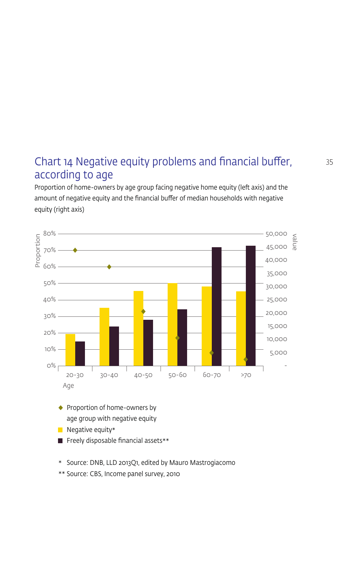## Chart  $14$  Negative equity problems and financial buffer,  $35$ according to age

Proportion of home-owners by age group facing negative home equity (left axis) and the amount of negative equity and the financial buffer of median households with negative equity (right axis)



- $\blacksquare$  Freely disposable financial assets \*\*
- \* Source: DNB, LLD 2013Q1, edited by Mauro Mastrogiacomo
- \*\* Source: CBS, Income panel survey, 2010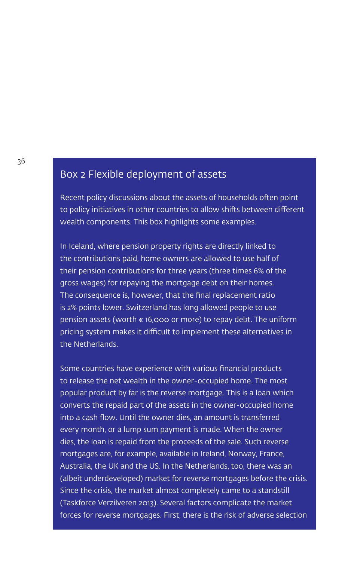## Box 2 Flexible deployment of assets

Recent policy discussions about the assets of households often point to policy initiatives in other countries to allow shifts between different wealth components. This box highlights some examples.

In Iceland, where pension property rights are directly linked to the contributions paid, home owners are allowed to use half of their pension contributions for three years (three times 6% of the gross wages) for repaying the mortgage debt on their homes. The consequence is, however, that the final replacement ratio is 2% points lower. Switzerland has long allowed people to use pension assets (worth  $\epsilon$  16,000 or more) to repay debt. The uniform pricing system makes it difficult to implement these alternatives in the Netherlands.

Some countries have experience with various financial products to release the net wealth in the owner-occupied home. The most popular product by far is the reverse mortgage. This is a loan which converts the repaid part of the assets in the owner-occupied home into a cash flow. Until the owner dies, an amount is transferred every month, or a lump sum payment is made. When the owner dies, the loan is repaid from the proceeds of the sale. Such reverse mortgages are, for example, available in Ireland, Norway, France, Australia, the UK and the US. In the Netherlands, too, there was an (albeit underdeveloped) market for reverse mortgages before the crisis. Since the crisis, the market almost completely came to a standstill (Taskforce Verzilveren 2013). Several factors complicate the market forces for reverse mortgages. First, there is the risk of adverse selection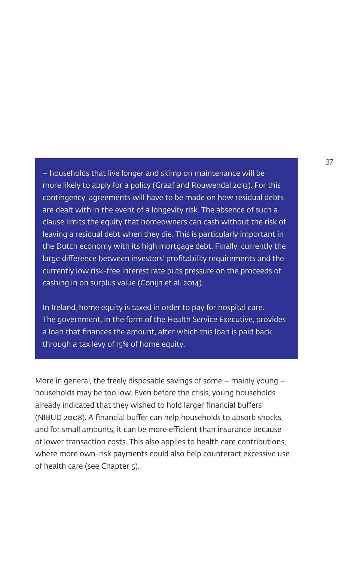– households that live longer and skimp on maintenance will be more likely to apply for a policy (Graaf and Rouwendal 2013). For this contingency, agreements will have to be made on how residual debts are dealt with in the event of a longevity risk. The absence of such a clause limits the equity that homeowners can cash without the risk of leaving a residual debt when they die. This is particularly important in the Dutch economy with its high mortgage debt. Finally, currently the large difference between investors' profitability requirements and the currently low risk-free interest rate puts pressure on the proceeds of cashing in on surplus value (Conijn et al. 2014).

In Ireland, home equity is taxed in order to pay for hospital care. The government, in the form of the Health Service Executive, provides a loan that finances the amount, after which this loan is paid back through a tax levy of 15% of home equity.

More in general, the freely disposable savings of some – mainly young – households may be too low. Even before the crisis, young households already indicated that they wished to hold larger financial buffers (NIBUD 2008). A financial buffer can help households to absorb shocks, and for small amounts, it can be more efficient than insurance because of lower transaction costs. This also applies to health care contributions, where more own-risk payments could also help counteract excessive use of health care (see Chapter 5).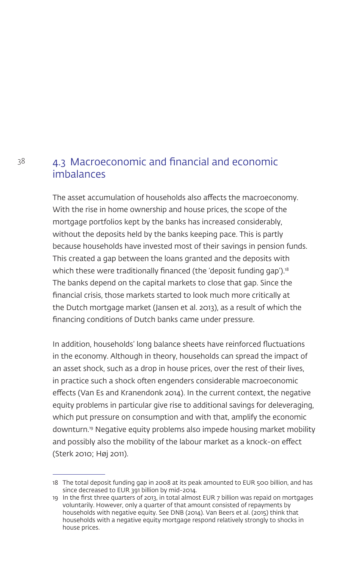## 38 4.3 Macroeconomic and financial and economic imbalances

The asset accumulation of households also affects the macroeconomy. With the rise in home ownership and house prices, the scope of the mortgage portfolios kept by the banks has increased considerably, without the deposits held by the banks keeping pace. This is partly because households have invested most of their savings in pension funds. This created a gap between the loans granted and the deposits with which these were traditionally financed (the 'deposit funding gap').<sup>18</sup> The banks depend on the capital markets to close that gap. Since the financial crisis, those markets started to look much more critically at the Dutch mortgage market (Jansen et al. 2013), as a result of which the financing conditions of Dutch banks came under pressure.

In addition, households' long balance sheets have reinforced fluctuations in the economy. Although in theory, households can spread the impact of an asset shock, such as a drop in house prices, over the rest of their lives, in practice such a shock often engenders considerable macroeconomic effects (Van Es and Kranendonk 2014). In the current context, the negative equity problems in particular give rise to additional savings for deleveraging, which put pressure on consumption and with that, amplify the economic downturn.19 Negative equity problems also impede housing market mobility and possibly also the mobility of the labour market as a knock-on effect (Sterk 2010; Høj 2011).

<sup>18</sup> The total deposit funding gap in 2008 at its peak amounted to EUR 500 billion, and has since decreased to EUR 391 billion by mid-2014.

<sup>19</sup> In the first three quarters of 2013, in total almost EUR 7 billion was repaid on mortgages voluntarily. However, only a quarter of that amount consisted of repayments by households with negative equity. See DNB (2014). Van Beers et al. (2015) think that households with a negative equity mortgage respond relatively strongly to shocks in house prices.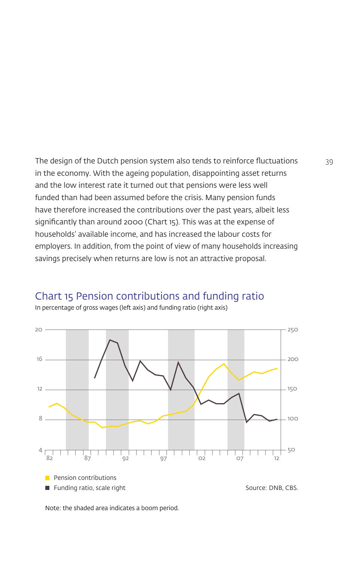The design of the Dutch pension system also tends to reinforce fluctuations 39 in the economy. With the ageing population, disappointing asset returns and the low interest rate it turned out that pensions were less well funded than had been assumed before the crisis. Many pension funds have therefore increased the contributions over the past years, albeit less significantly than around 2000 (Chart 15). This was at the expense of households' available income, and has increased the labour costs for employers. In addition, from the point of view of many households increasing savings precisely when returns are low is not an attractive proposal.



Chart 15 Pension contributions and funding ratio

In percentage of gross wages (left axis) and funding ratio (right axis)

Note: the shaded area indicates a boom period.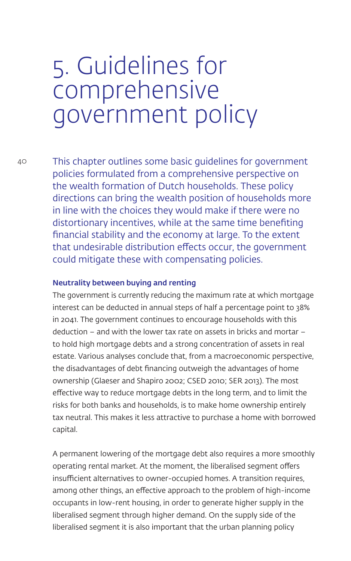## 5. Guidelines for comprehensive government policy

40 This chapter outlines some basic guidelines for government policies formulated from a comprehensive perspective on the wealth formation of Dutch households. These policy directions can bring the wealth position of households more in line with the choices they would make if there were no distortionary incentives, while at the same time benefiting financial stability and the economy at large. To the extent that undesirable distribution effects occur, the government could mitigate these with compensating policies.

#### Neutrality between buying and renting

The government is currently reducing the maximum rate at which mortgage interest can be deducted in annual steps of half a percentage point to 38% in 2041. The government continues to encourage households with this deduction – and with the lower tax rate on assets in bricks and mortar – to hold high mortgage debts and a strong concentration of assets in real estate. Various analyses conclude that, from a macroeconomic perspective, the disadvantages of debt financing outweigh the advantages of home ownership (Glaeser and Shapiro 2002; CSED 2010; SER 2013). The most effective way to reduce mortgage debts in the long term, and to limit the risks for both banks and households, is to make home ownership entirely tax neutral. This makes it less attractive to purchase a home with borrowed capital.

A permanent lowering of the mortgage debt also requires a more smoothly operating rental market. At the moment, the liberalised segment offers insufficient alternatives to owner-occupied homes. A transition requires, among other things, an effective approach to the problem of high-income occupants in low-rent housing, in order to generate higher supply in the liberalised segment through higher demand. On the supply side of the liberalised segment it is also important that the urban planning policy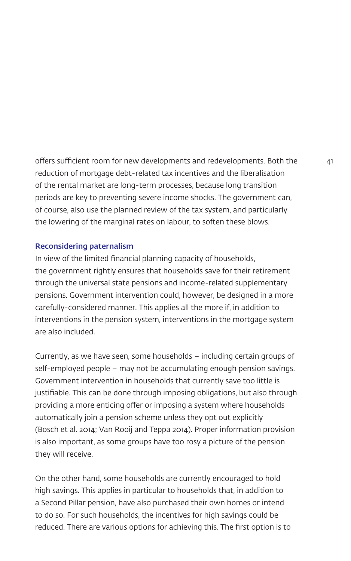offers sufficient room for new developments and redevelopments. Both the 41 reduction of mortgage debt-related tax incentives and the liberalisation of the rental market are long-term processes, because long transition periods are key to preventing severe income shocks. The government can, of course, also use the planned review of the tax system, and particularly the lowering of the marginal rates on labour, to soften these blows.

#### Reconsidering paternalism

In view of the limited financial planning capacity of households, the government rightly ensures that households save for their retirement through the universal state pensions and income-related supplementary pensions. Government intervention could, however, be designed in a more carefully-considered manner. This applies all the more if, in addition to interventions in the pension system, interventions in the mortgage system are also included.

Currently, as we have seen, some households – including certain groups of self-employed people – may not be accumulating enough pension savings. Government intervention in households that currently save too little is justifiable. This can be done through imposing obligations, but also through providing a more enticing offer or imposing a system where households automatically join a pension scheme unless they opt out explicitly (Bosch et al. 2014; Van Rooij and Teppa 2014). Proper information provision is also important, as some groups have too rosy a picture of the pension they will receive.

On the other hand, some households are currently encouraged to hold high savings. This applies in particular to households that, in addition to a Second Pillar pension, have also purchased their own homes or intend to do so. For such households, the incentives for high savings could be reduced. There are various options for achieving this. The first option is to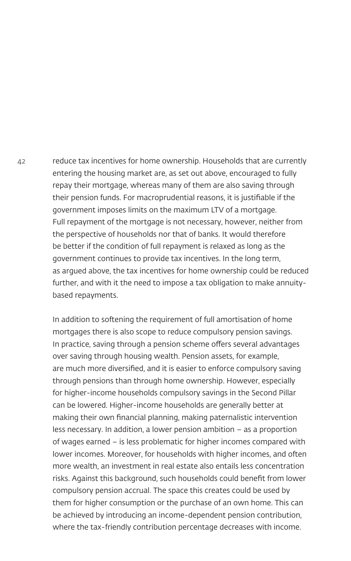42 reduce tax incentives for home ownership. Households that are currently entering the housing market are, as set out above, encouraged to fully repay their mortgage, whereas many of them are also saving through their pension funds. For macroprudential reasons, it is justifiable if the government imposes limits on the maximum LTV of a mortgage. Full repayment of the mortgage is not necessary, however, neither from the perspective of households nor that of banks. It would therefore be better if the condition of full repayment is relaxed as long as the government continues to provide tax incentives. In the long term, as argued above, the tax incentives for home ownership could be reduced further, and with it the need to impose a tax obligation to make annuitybased repayments.

> In addition to softening the requirement of full amortisation of home mortgages there is also scope to reduce compulsory pension savings. In practice, saving through a pension scheme offers several advantages over saving through housing wealth. Pension assets, for example, are much more diversified, and it is easier to enforce compulsory saving through pensions than through home ownership. However, especially for higher-income households compulsory savings in the Second Pillar can be lowered. Higher-income households are generally better at making their own financial planning, making paternalistic intervention less necessary. In addition, a lower pension ambition – as a proportion of wages earned – is less problematic for higher incomes compared with lower incomes. Moreover, for households with higher incomes, and often more wealth, an investment in real estate also entails less concentration risks. Against this background, such households could benefit from lower compulsory pension accrual. The space this creates could be used by them for higher consumption or the purchase of an own home. This can be achieved by introducing an income-dependent pension contribution, where the tax-friendly contribution percentage decreases with income.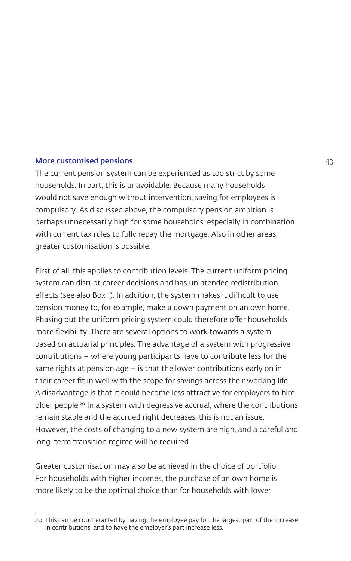#### More customised pensions and the contract of the customised pensions and the contract of the contract of the contract of the contract of the contract of the contract of the contract of the contract of the contract of the c

The current pension system can be experienced as too strict by some households. In part, this is unavoidable. Because many households would not save enough without intervention, saving for employees is compulsory. As discussed above, the compulsory pension ambition is perhaps unnecessarily high for some households, especially in combination with current tax rules to fully repay the mortgage. Also in other areas, greater customisation is possible.

First of all, this applies to contribution levels. The current uniform pricing system can disrupt career decisions and has unintended redistribution effects (see also Box 1). In addition, the system makes it difficult to use pension money to, for example, make a down payment on an own home. Phasing out the uniform pricing system could therefore offer households more flexibility. There are several options to work towards a system based on actuarial principles. The advantage of a system with progressive contributions – where young participants have to contribute less for the same rights at pension age – is that the lower contributions early on in their career fit in well with the scope for savings across their working life. A disadvantage is that it could become less attractive for employers to hire older people.20 In a system with degressive accrual, where the contributions remain stable and the accrued right decreases, this is not an issue. However, the costs of changing to a new system are high, and a careful and long-term transition regime will be required.

Greater customisation may also be achieved in the choice of portfolio. For households with higher incomes, the purchase of an own home is more likely to be the optimal choice than for households with lower

<sup>20</sup> This can be counteracted by having the employee pay for the largest part of the increase in contributions, and to have the employer's part increase less.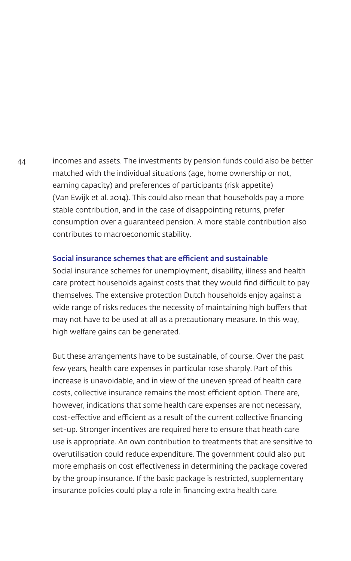44 incomes and assets. The investments by pension funds could also be better matched with the individual situations (age, home ownership or not, earning capacity) and preferences of participants (risk appetite) (Van Ewijk et al. 2014). This could also mean that households pay a more stable contribution, and in the case of disappointing returns, prefer consumption over a guaranteed pension. A more stable contribution also contributes to macroeconomic stability.

#### Social insurance schemes that are efficient and sustainable

Social insurance schemes for unemployment, disability, illness and health care protect households against costs that they would find difficult to pay themselves. The extensive protection Dutch households enjoy against a wide range of risks reduces the necessity of maintaining high buffers that may not have to be used at all as a precautionary measure. In this way, high welfare gains can be generated.

But these arrangements have to be sustainable, of course. Over the past few years, health care expenses in particular rose sharply. Part of this increase is unavoidable, and in view of the uneven spread of health care costs, collective insurance remains the most efficient option. There are, however, indications that some health care expenses are not necessary, cost-effective and efficient as a result of the current collective financing set-up. Stronger incentives are required here to ensure that heath care use is appropriate. An own contribution to treatments that are sensitive to overutilisation could reduce expenditure. The government could also put more emphasis on cost effectiveness in determining the package covered by the group insurance. If the basic package is restricted, supplementary insurance policies could play a role in financing extra health care.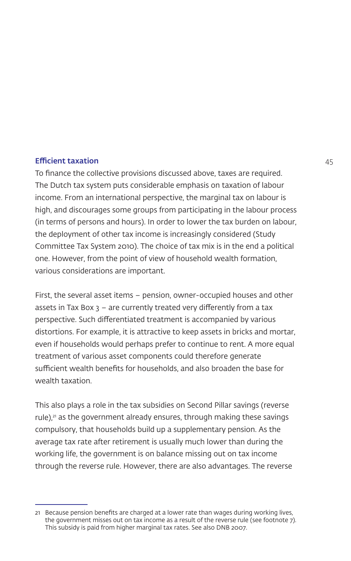#### **Efficient taxation** 45

To finance the collective provisions discussed above, taxes are required. The Dutch tax system puts considerable emphasis on taxation of labour income. From an international perspective, the marginal tax on labour is high, and discourages some groups from participating in the labour process (in terms of persons and hours). In order to lower the tax burden on labour, the deployment of other tax income is increasingly considered (Study Committee Tax System 2010). The choice of tax mix is in the end a political one. However, from the point of view of household wealth formation, various considerations are important.

First, the several asset items – pension, owner-occupied houses and other assets in Tax Box  $3$  – are currently treated very differently from a tax perspective. Such differentiated treatment is accompanied by various distortions. For example, it is attractive to keep assets in bricks and mortar, even if households would perhaps prefer to continue to rent. A more equal treatment of various asset components could therefore generate sufficient wealth benefits for households, and also broaden the base for wealth taxation.

This also plays a role in the tax subsidies on Second Pillar savings (reverse rule),<sup>21</sup> as the government already ensures, through making these savings compulsory, that households build up a supplementary pension. As the average tax rate after retirement is usually much lower than during the working life, the government is on balance missing out on tax income through the reverse rule. However, there are also advantages. The reverse

<sup>21</sup> Because pension benefits are charged at a lower rate than wages during working lives, the government misses out on tax income as a result of the reverse rule (see footnote 7). This subsidy is paid from higher marginal tax rates. See also DNB 2007.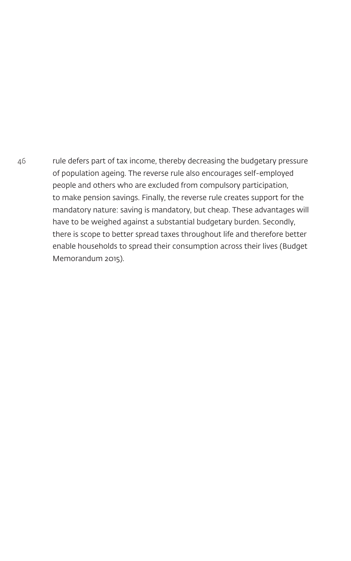46 rule defers part of tax income, thereby decreasing the budgetary pressure of population ageing. The reverse rule also encourages self-employed people and others who are excluded from compulsory participation, to make pension savings. Finally, the reverse rule creates support for the mandatory nature: saving is mandatory, but cheap. These advantages will have to be weighed against a substantial budgetary burden. Secondly, there is scope to better spread taxes throughout life and therefore better enable households to spread their consumption across their lives (Budget Memorandum 2015).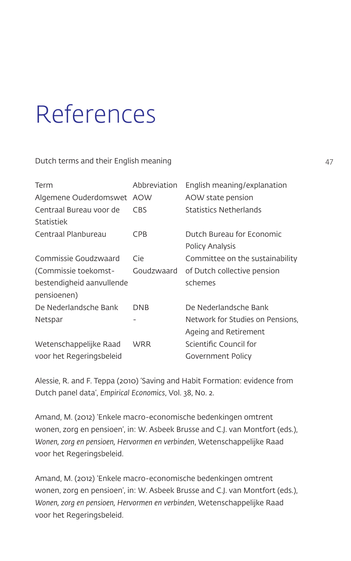# References

Dutch terms and their English meaning

| Term                      | Abbreviation | English meaning/explanation      |
|---------------------------|--------------|----------------------------------|
| Algemene Ouderdomswet AOW |              | AOW state pension                |
| Centraal Bureau voor de   | CBS          | Statistics Netherlands           |
| Statistiek                |              |                                  |
| Centraal Planbureau       | <b>CPB</b>   | Dutch Bureau for Economic        |
|                           |              | Policy Analysis                  |
| Commissie Goudzwaard      | Cie          | Committee on the sustainability  |
| (Commissie toekomst-      | Goudzwaard   | of Dutch collective pension      |
| bestendigheid aanvullende |              | schemes                          |
| pensioenen)               |              |                                  |
| De Nederlandsche Bank     | <b>DNB</b>   | De Nederlandsche Bank            |
| Netspar                   |              | Network for Studies on Pensions. |
|                           |              | Ageing and Retirement            |
| Wetenschappelijke Raad    | WRR          | Scientific Council for           |
| voor het Regeringsbeleid  |              | Government Policy                |

Alessie, R. and F. Teppa (2010) 'Saving and Habit Formation: evidence from Dutch panel data', *Empirical Economics*, Vol. 38, No. 2.

Amand, M. (2012) 'Enkele macro-economische bedenkingen omtrent wonen, zorg en pensioen', in: W. Asbeek Brusse and C.J. van Montfort (eds.), *Wonen, zorg en pensioen, Hervormen en verbinden*, Wetenschappelijke Raad voor het Regeringsbeleid.

Amand, M. (2012) 'Enkele macro-economische bedenkingen omtrent wonen, zorg en pensioen', in: W. Asbeek Brusse and C.J. van Montfort (eds.), *Wonen, zorg en pensioen, Hervormen en verbinden*, Wetenschappelijke Raad voor het Regeringsbeleid.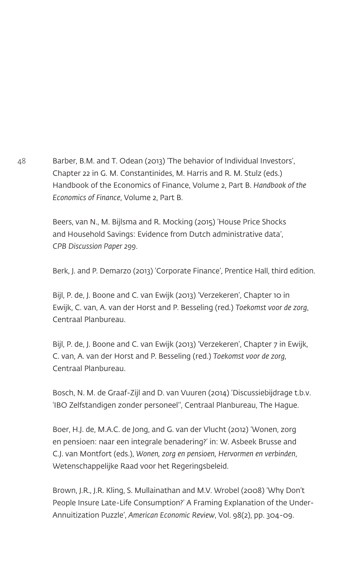48 Barber, B.M. and T. Odean (2013) 'The behavior of Individual Investors', Chapter 22 in G. M. Constantinides, M. Harris and R. M. Stulz (eds.) Handbook of the Economics of Finance, Volume 2, Part B. *Handbook of the Economics of Finance*, Volume 2, Part B.

> Beers, van N., M. Bijlsma and R. Mocking (2015) 'House Price Shocks and Household Savings: Evidence from Dutch administrative data', *CPB Discussion Paper 299*.

Berk, J. and P. Demarzo (2013) 'Corporate Finance', Prentice Hall, third edition.

Bijl, P. de, J. Boone and C. van Ewijk (2013) 'Verzekeren', Chapter 10 in Ewijk, C. van, A. van der Horst and P. Besseling (red.) *Toekomst voor de zorg*, Centraal Planbureau.

Bijl, P. de, J. Boone and C. van Ewijk (2013) 'Verzekeren', Chapter 7 in Ewijk, C. van, A. van der Horst and P. Besseling (red.) *Toekomst voor de zorg*, Centraal Planbureau.

Bosch, N. M. de Graaf-Zijl and D. van Vuuren (2014) 'Discussiebijdrage t.b.v. 'IBO Zelfstandigen zonder personeel'', Centraal Planbureau, The Hague.

Boer, H.J. de, M.A.C. de Jong, and G. van der Vlucht (2012) 'Wonen, zorg en pensioen: naar een integrale benadering?' in: W. Asbeek Brusse and C.J. van Montfort (eds.), *Wonen, zorg en pensioen, Hervormen en verbinden*, Wetenschappelijke Raad voor het Regeringsbeleid.

Brown, J.R., J.R. Kling, S. Mullainathan and M.V. Wrobel (2008) 'Why Don't People Insure Late-Life Consumption?' A Framing Explanation of the Under-Annuitization Puzzle', *American Economic Review*, Vol. 98(2), pp. 304-09.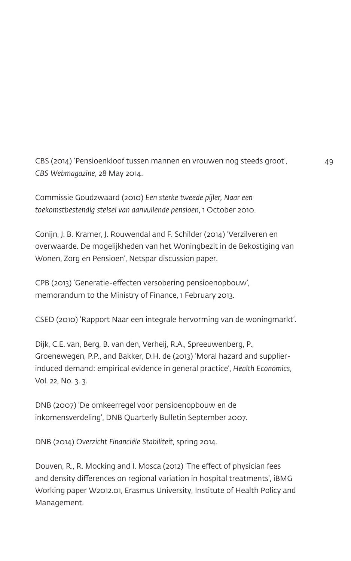CBS (2014) 'Pensioenkloof tussen mannen en vrouwen nog steeds groot', 49 *CBS Webmagazine*, 28 May 2014.

Commissie Goudzwaard (2010) *Een sterke tweede pijler, Naar een toekomstbestendig stelsel van aanvullende pensioen*, 1 October 2010.

Conijn, J. B. Kramer, J. Rouwendal and F. Schilder (2014) 'Verzilveren en overwaarde. De mogelijkheden van het Woningbezit in de Bekostiging van Wonen, Zorg en Pensioen', Netspar discussion paper.

CPB (2013) 'Generatie-effecten versobering pensioenopbouw', memorandum to the Ministry of Finance, 1 February 2013.

CSED (2010) 'Rapport Naar een integrale hervorming van de woningmarkt'.

Dijk, C.E. van, Berg, B. van den, Verheij, R.A., Spreeuwenberg, P., Groenewegen, P.P., and Bakker, D.H. de (2013) 'Moral hazard and supplierinduced demand: empirical evidence in general practice', *Health Economics*, Vol. 22, No. 3. 3.

DNB (2007) 'De omkeerregel voor pensioenopbouw en de inkomensverdeling', DNB Quarterly Bulletin September 2007.

DNB (2014) *Overzicht Financiële Stabiliteit*, spring 2014.

Douven, R., R. Mocking and I. Mosca (2012) 'The effect of physician fees and density differences on regional variation in hospital treatments', iBMG Working paper W2012.01, Erasmus University, Institute of Health Policy and Management.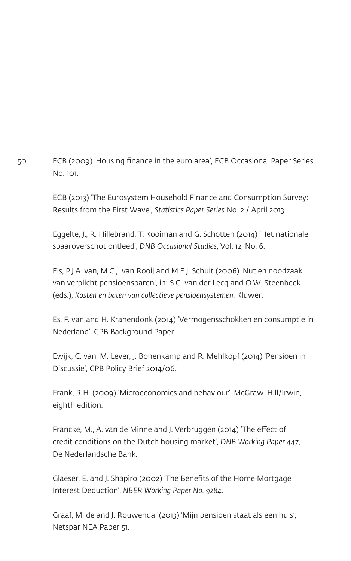50 ECB (2009) 'Housing finance in the euro area', ECB Occasional Paper Series  $N<sub>0</sub>$  101.

> ECB (2013) 'The Eurosystem Household Finance and Consumption Survey: Results from the First Wave', *Statistics Paper Series* No. 2 / April 2013.

> Eggelte, J., R. Hillebrand, T. Kooiman and G. Schotten (2014) 'Het nationale spaaroverschot ontleed', *DNB Occasional Studies*, Vol. 12, No. 6.

Els, P.J.A. van, M.C.J. van Rooij and M.E.J. Schuit (2006) 'Nut en noodzaak van verplicht pensioensparen', in: S.G. van der Lecq and O.W. Steenbeek (eds.), *Kosten en baten van collectieve pensioensystemen*, Kluwer.

Es, F. van and H. Kranendonk (2014) 'Vermogensschokken en consumptie in Nederland', CPB Background Paper.

Ewijk, C. van, M. Lever, J. Bonenkamp and R. Mehlkopf (2014) 'Pensioen in Discussie', CPB Policy Brief 2014/06.

Frank, R.H. (2009) 'Microeconomics and behaviour', McGraw-Hill/Irwin, eighth edition.

Francke, M., A. van de Minne and J. Verbruggen (2014) 'The effect of credit conditions on the Dutch housing market', *DNB Working Paper 447*, De Nederlandsche Bank.

Glaeser, E. and J. Shapiro (2002) 'The Benefits of the Home Mortgage Interest Deduction', *NBER Working Paper No. 9284*.

Graaf, M. de and J. Rouwendal (2013) 'Mijn pensioen staat als een huis', Netspar NEA Paper 51.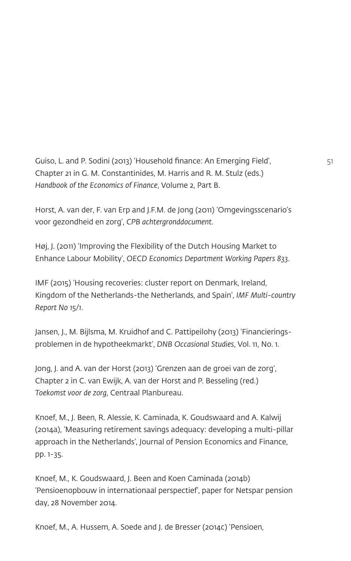```
Guiso, L. and P. Sodini (2013) 'Household finance: An Emerging Field', 51
Chapter 21 in G. M. Constantinides, M. Harris and R. M. Stulz (eds.) 
Handbook of the Economics of Finance, Volume 2, Part B.
```
Horst, A. van der, F. van Erp and J.F.M. de Jong (2011) 'Omgevingsscenario's voor gezondheid en zorg', *CPB achtergronddocument*.

Høj, J. (2011) 'Improving the Flexibility of the Dutch Housing Market to Enhance Labour Mobility', *OECD Economics Department Working Papers 833*.

IMF (2015) 'Housing recoveries: cluster report on Denmark, Ireland, Kingdom of the Netherlands-the Netherlands, and Spain', *IMF Multi-country Report No 15/1*.

Jansen, J., M. Bijlsma, M. Kruidhof and C. Pattipeilohy (2013) 'Financieringsproblemen in de hypotheekmarkt', *DNB Occasional Studies*, Vol. 11, No. 1.

Jong, J. and A. van der Horst (2013) 'Grenzen aan de groei van de zorg', Chapter 2 in C. van Ewijk, A. van der Horst and P. Besseling (red.) *Toekomst voor de zorg*, Centraal Planbureau.

Knoef, M., J. Been, R. Alessie, K. Caminada, K. Goudswaard and A. Kalwij (2014a), 'Measuring retirement savings adequacy: developing a multi-pillar approach in the Netherlands', Journal of Pension Economics and Finance, pp. 1-35.

Knoef, M., K. Goudswaard, J. Been and Koen Caminada (2014b) 'Pensioenopbouw in internationaal perspectief', paper for Netspar pension day, 28 November 2014.

Knoef, M., A. Hussem, A. Soede and J. de Bresser (2014c) 'Pensioen,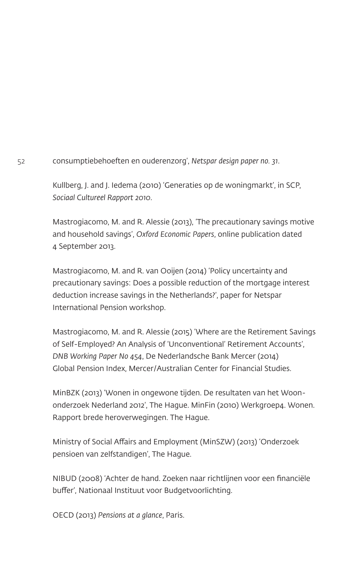52 consumptiebehoeften en ouderenzorg', *Netspar design paper no. 31*.

Kullberg, J. and J. Iedema (2010) 'Generaties op de woningmarkt', in SCP, *Sociaal Cultureel Rapport 2010*.

Mastrogiacomo, M. and R. Alessie (2013), 'The precautionary savings motive and household savings', *Oxford Economic Papers*, online publication dated 4 September 2013.

Mastrogiacomo, M. and R. van Ooijen (2014) 'Policy uncertainty and precautionary savings: Does a possible reduction of the mortgage interest deduction increase savings in the Netherlands?', paper for Netspar International Pension workshop.

Mastrogiacomo, M. and R. Alessie (2015) 'Where are the Retirement Savings of Self-Employed? An Analysis of 'Unconventional' Retirement Accounts', *DNB Working Paper No 454*, De Nederlandsche Bank Mercer (2014) Global Pension Index, Mercer/Australian Center for Financial Studies.

MinBZK (2013) 'Wonen in ongewone tijden. De resultaten van het Woononderzoek Nederland 2012', The Hague. MinFin (2010) Werkgroep4. Wonen. Rapport brede heroverwegingen. The Hague.

Ministry of Social Affairs and Employment (MinSZW) (2013) 'Onderzoek pensioen van zelfstandigen', The Hague.

NIBUD (2008) 'Achter de hand. Zoeken naar richtlijnen voor een financiële buffer', Nationaal Instituut voor Budgetvoorlichting.

OECD (2013) *Pensions at a glance*, Paris.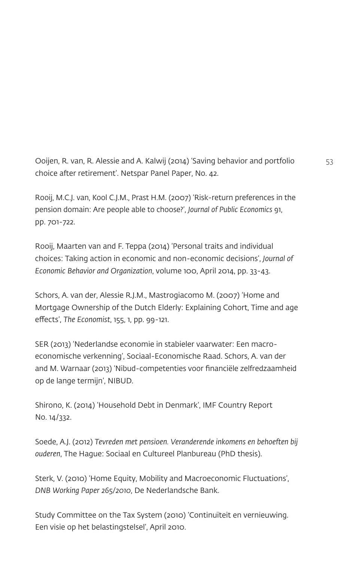Ooijen, R. van, R. Alessie and A. Kalwij (2014) 'Saving behavior and portfolio 53 choice after retirement'. Netspar Panel Paper, No. 42.

Rooij, M.C.J. van, Kool C.J.M., Prast H.M. (2007) 'Risk-return preferences in the pension domain: Are people able to choose?', *Journal of Public Economics* 91, pp. 701-722.

Rooij, Maarten van and F. Teppa (2014) 'Personal traits and individual choices: Taking action in economic and non-economic decisions', *Journal of Economic Behavior and Organization*, volume 100, April 2014, pp. 33-43.

Schors, A. van der, Alessie R.J.M., Mastrogiacomo M. (2007) 'Home and Mortgage Ownership of the Dutch Elderly: Explaining Cohort, Time and age effects', *The Economist*, 155, 1, pp. 99-121.

SER (2013) 'Nederlandse economie in stabieler vaarwater: Een macroeconomische verkenning', Sociaal-Economische Raad. Schors, A. van der and M. Warnaar (2013) 'Nibud-competenties voor financiële zelfredzaamheid op de lange termijn', NIBUD.

Shirono, K. (2014) 'Household Debt in Denmark', IMF Country Report No. 14/332.

Soede, A.J. (2012) *Tevreden met pensioen. Veranderende inkomens en behoeften bij ouderen*, The Hague: Sociaal en Cultureel Planbureau (PhD thesis).

Sterk, V. (2010) 'Home Equity, Mobility and Macroeconomic Fluctuations', *DNB Working Paper 265/2010*, De Nederlandsche Bank.

Study Committee on the Tax System (2010) 'Continuïteit en vernieuwing. Een visie op het belastingstelsel', April 2010.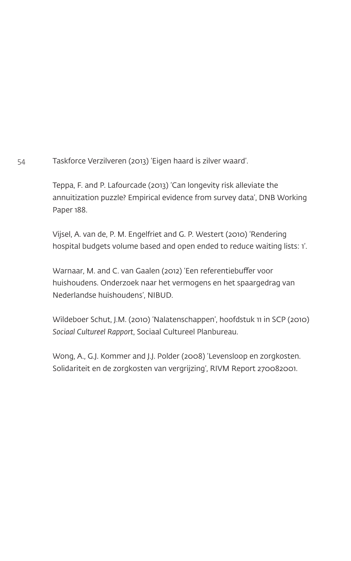54 Taskforce Verzilveren (2013) 'Eigen haard is zilver waard'.

Teppa, F. and P. Lafourcade (2013) 'Can longevity risk alleviate the annuitization puzzle? Empirical evidence from survey data', DNB Working Paper 188.

Vijsel, A. van de, P. M. Engelfriet and G. P. Westert (2010) 'Rendering hospital budgets volume based and open ended to reduce waiting lists: 1'.

Warnaar, M. and C. van Gaalen (2012) 'Een referentiebuffer voor huishoudens. Onderzoek naar het vermogens en het spaargedrag van Nederlandse huishoudens', NIBUD.

Wildeboer Schut, J.M. (2010) 'Nalatenschappen', hoofdstuk 11 in SCP (2010) *Sociaal Cultureel Rapport*, Sociaal Cultureel Planbureau.

Wong, A., G.J. Kommer and J.J. Polder (2008) 'Levensloop en zorgkosten. Solidariteit en de zorgkosten van vergrijzing', RIVM Report 270082001.